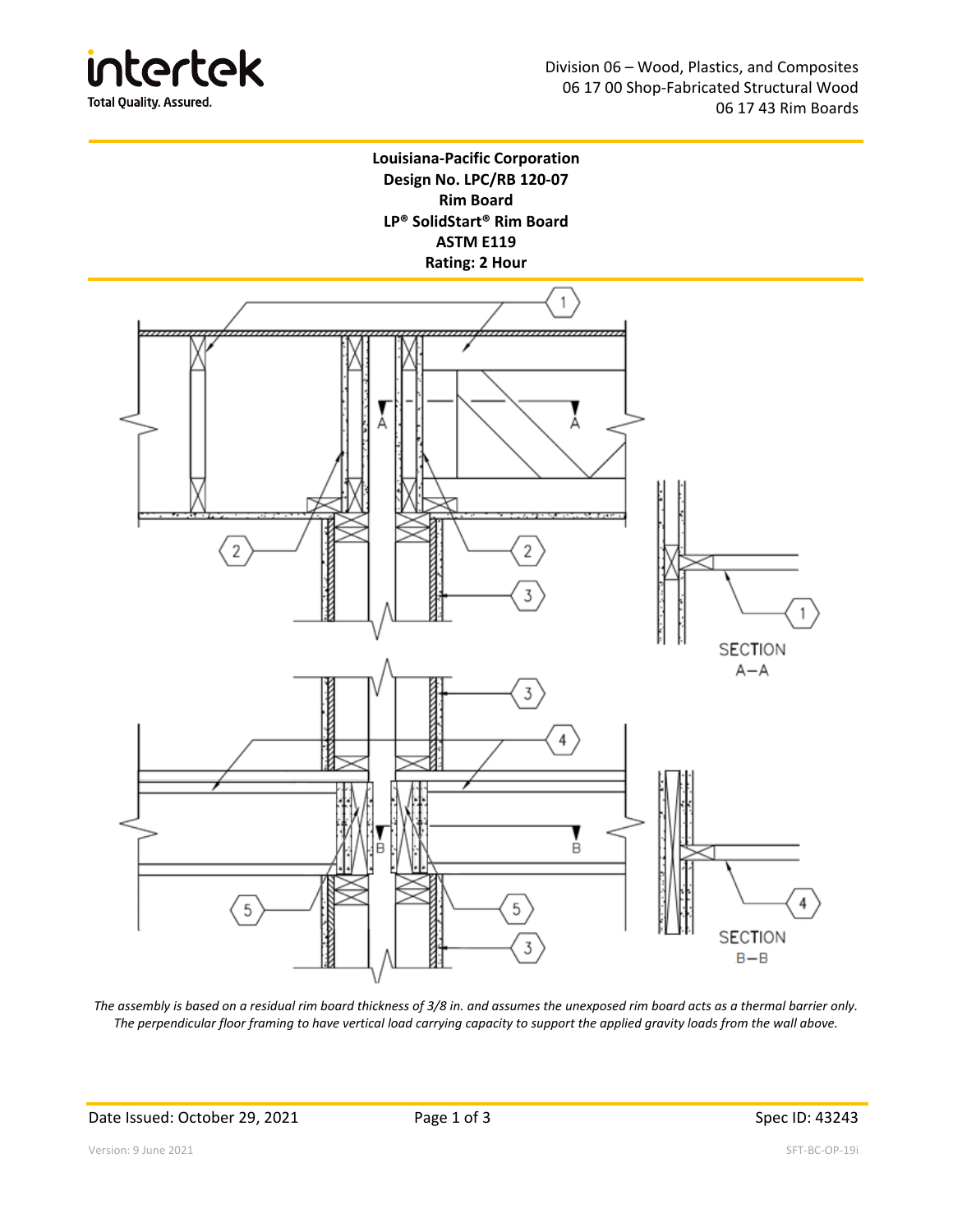



*The assembly is based on a residual rim board thickness of 3/8 in. and assumes the unexposed rim board acts as a thermal barrier only. The perpendicular floor framing to have vertical load carrying capacity to support the applied gravity loads from the wall above.*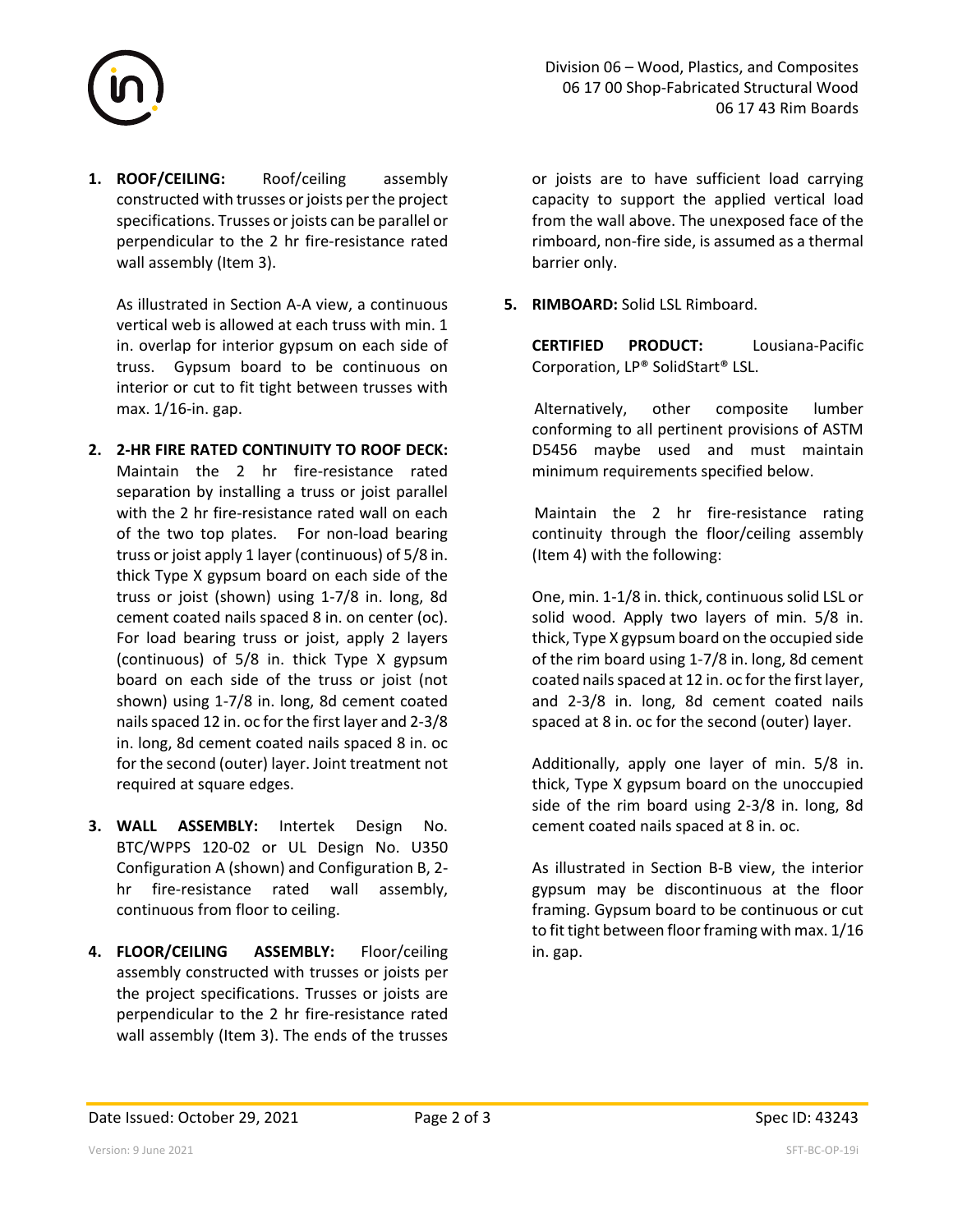

**1. ROOF/CEILING:**  Roof/ceiling assembly constructed with trusses or joists per the project specifications. Trusses or joists can be parallel or perpendicular to the 2 hr fire‐resistance rated wall assembly (Item 3).

As illustrated in Section A‐A view, a continuous vertical web is allowed at each truss with min. 1 in. overlap for interior gypsum on each side of truss. Gypsum board to be continuous on interior or cut to fit tight between trusses with max. 1/16‐in. gap.

- **2. 2‐HR FIRE RATED CONTINUITY TO ROOF DECK:**  Maintain the 2 hr fire-resistance rated separation by installing a truss or joist parallel with the 2 hr fire-resistance rated wall on each of the two top plates. For non-load bearing truss or joist apply 1 layer (continuous) of 5/8 in. thick Type X gypsum board on each side of the truss or joist (shown) using 1‐7/8 in. long, 8d cement coated nails spaced 8 in. on center (oc). For load bearing truss or joist, apply 2 layers (continuous) of 5/8 in. thick Type X gypsum board on each side of the truss or joist (not shown) using 1‐7/8 in. long, 8d cement coated nails spaced 12 in. oc for the first layer and 2‐3/8 in. long, 8d cement coated nails spaced 8 in. oc for the second (outer) layer. Joint treatment not required at square edges.
- **3. WALL ASSEMBLY:**  Intertek Design No. BTC/WPPS 120‐02 or UL Design No. U350 Configuration A (shown) and Configuration B, 2‐ hr fire-resistance rated wall assembly, continuous from floor to ceiling.
- **4. FLOOR/CEILING ASSEMBLY:**  Floor/ceiling assembly constructed with trusses or joists per the project specifications. Trusses or joists are perpendicular to the 2 hr fire‐resistance rated wall assembly (Item 3). The ends of the trusses

or joists are to have sufficient load carrying capacity to support the applied vertical load from the wall above. The unexposed face of the rimboard, non‐fire side, is assumed as a thermal barrier only.

**5. RIMBOARD:** Solid LSL Rimboard.

**CERTIFIED PRODUCT:**  Lousiana‐Pacific Corporation, LP® SolidStart® LSL.

Alternatively, other composite lumber conforming to all pertinent provisions of ASTM D5456 maybe used and must maintain minimum requirements specified below.

Maintain the 2 hr fire-resistance rating continuity through the floor/ceiling assembly (Item 4) with the following:

One, min. 1‐1/8 in. thick, continuous solid LSL or solid wood. Apply two layers of min. 5/8 in. thick, Type X gypsum board on the occupied side of the rim board using 1‐7/8 in. long, 8d cement coated nails spaced at 12 in. oc for the first layer, and 2‐3/8 in. long, 8d cement coated nails spaced at 8 in. oc for the second (outer) layer.

Additionally, apply one layer of min. 5/8 in. thick, Type X gypsum board on the unoccupied side of the rim board using 2‐3/8 in. long, 8d cement coated nails spaced at 8 in. oc.

As illustrated in Section B‐B view, the interior gypsum may be discontinuous at the floor framing. Gypsum board to be continuous or cut to fit tight between floor framing with max. 1/16 in. gap.